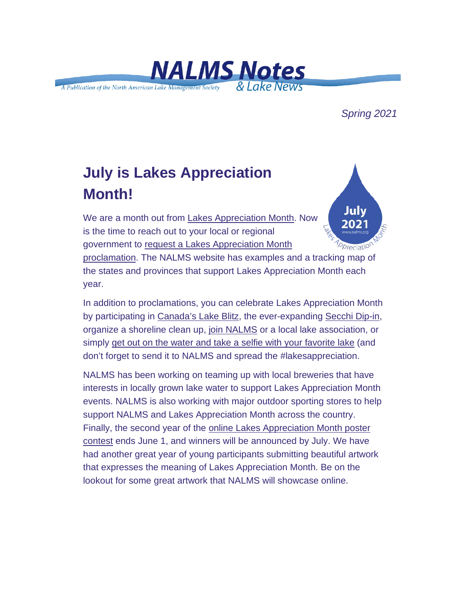

### *Spring 2021*

# **July is Lakes Appreciation Month!**

July We are a month out from [Lakes Appreciation Month.](https://urldefense.com/v3/__https:/nalms.us11.list-manage.com/track/click?u=dea191c828e06b171edfc6fe6&id=0d35fdbf16&e=d5d3c21044__;!!HXCxUKc!h4fcIJW3HiqipUP7wlRt9vYRE3IfXoE8vKEl_XWjUnSOjEdv9BVUb9eOrQYMk_ka$) Now is the time to reach out to your local or regional government to [request a Lakes Appreciation Month](https://urldefense.com/v3/__https:/nalms.us11.list-manage.com/track/click?u=dea191c828e06b171edfc6fe6&id=71c035e694&e=d5d3c21044__;!!HXCxUKc!h4fcIJW3HiqipUP7wlRt9vYRE3IfXoE8vKEl_XWjUnSOjEdv9BVUb9eOrUU8sHNJ$)  Opreciation [proclamation.](https://urldefense.com/v3/__https:/nalms.us11.list-manage.com/track/click?u=dea191c828e06b171edfc6fe6&id=71c035e694&e=d5d3c21044__;!!HXCxUKc!h4fcIJW3HiqipUP7wlRt9vYRE3IfXoE8vKEl_XWjUnSOjEdv9BVUb9eOrUU8sHNJ$) The NALMS website has examples and a tracking map of the states and provinces that support Lakes Appreciation Month each year.

In addition to proclamations, you can celebrate Lakes Appreciation Month by participating in [Canada's Lake Blitz,](https://urldefense.com/v3/__https:/nalms.us11.list-manage.com/track/click?u=dea191c828e06b171edfc6fe6&id=46c7851679&e=d5d3c21044__;!!HXCxUKc!h4fcIJW3HiqipUP7wlRt9vYRE3IfXoE8vKEl_XWjUnSOjEdv9BVUb9eOrXqzZECr$) the ever-expanding [Secchi Dip-in,](https://urldefense.com/v3/__https:/nalms.us11.list-manage.com/track/click?u=dea191c828e06b171edfc6fe6&id=84ed9c88f6&e=d5d3c21044__;!!HXCxUKc!h4fcIJW3HiqipUP7wlRt9vYRE3IfXoE8vKEl_XWjUnSOjEdv9BVUb9eOrQSoQtDM$) organize a shoreline clean up, [join NALMS](https://urldefense.com/v3/__https:/nalms.us11.list-manage.com/track/click?u=dea191c828e06b171edfc6fe6&id=58c5593cc0&e=d5d3c21044__;!!HXCxUKc!h4fcIJW3HiqipUP7wlRt9vYRE3IfXoE8vKEl_XWjUnSOjEdv9BVUb9eOrS8aYnhb$) or a local lake association, or simply [get out on the water and take a selfie with your favorite lake](https://urldefense.com/v3/__https:/nalms.us11.list-manage.com/track/click?u=dea191c828e06b171edfc6fe6&id=28112d6720&e=d5d3c21044__;!!HXCxUKc!h4fcIJW3HiqipUP7wlRt9vYRE3IfXoE8vKEl_XWjUnSOjEdv9BVUb9eOreTlXpii$) (and don't forget to send it to NALMS and spread the #lakesappreciation.

NALMS has been working on teaming up with local breweries that have interests in locally grown lake water to support Lakes Appreciation Month events. NALMS is also working with major outdoor sporting stores to help support NALMS and Lakes Appreciation Month across the country. Finally, the second year of the [online Lakes Appreciation Month poster](https://urldefense.com/v3/__https:/nalms.us11.list-manage.com/track/click?u=dea191c828e06b171edfc6fe6&id=55f7a2b143&e=d5d3c21044__;!!HXCxUKc!h4fcIJW3HiqipUP7wlRt9vYRE3IfXoE8vKEl_XWjUnSOjEdv9BVUb9eOrTcz5t97$)  [contest](https://urldefense.com/v3/__https:/nalms.us11.list-manage.com/track/click?u=dea191c828e06b171edfc6fe6&id=55f7a2b143&e=d5d3c21044__;!!HXCxUKc!h4fcIJW3HiqipUP7wlRt9vYRE3IfXoE8vKEl_XWjUnSOjEdv9BVUb9eOrTcz5t97$) ends June 1, and winners will be announced by July. We have had another great year of young participants submitting beautiful artwork that expresses the meaning of Lakes Appreciation Month. Be on the lookout for some great artwork that NALMS will showcase online.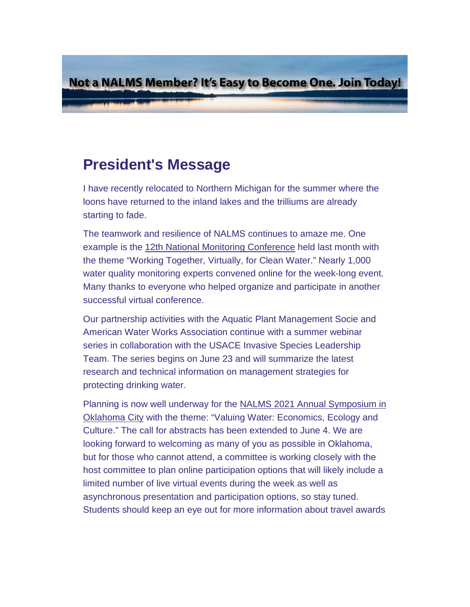Not a NALMS Member? It's Easy to Become One. Join Today!

## **President's Message**

I have recently relocated to Northern Michigan for the summer where the loons have returned to the inland lakes and the trilliums are already starting to fade.

The teamwork and resilience of NALMS continues to amaze me. One example is the [12th National Monitoring Conference](https://urldefense.com/v3/__https:/nalms.us11.list-manage.com/track/click?u=dea191c828e06b171edfc6fe6&id=6a7c5831e9&e=d5d3c21044__;!!HXCxUKc!h4fcIJW3HiqipUP7wlRt9vYRE3IfXoE8vKEl_XWjUnSOjEdv9BVUb9eOrQQmSOKT$) held last month with the theme "Working Together, Virtually, for Clean Water." Nearly 1,000 water quality monitoring experts convened online for the week-long event. Many thanks to everyone who helped organize and participate in another successful virtual conference.

Our partnership activities with the Aquatic Plant Management Socie and American Water Works Association continue with a summer webinar series in collaboration with the USACE Invasive Species Leadership Team. The series begins on June 23 and will summarize the latest research and technical information on management strategies for protecting drinking water.

Planning is now well underway for the [NALMS 2021 Annual Symposium in](https://urldefense.com/v3/__https:/nalms.us11.list-manage.com/track/click?u=dea191c828e06b171edfc6fe6&id=e93395d83c&e=d5d3c21044__;!!HXCxUKc!h4fcIJW3HiqipUP7wlRt9vYRE3IfXoE8vKEl_XWjUnSOjEdv9BVUb9eOrYhjb6We$)  [Oklahoma City](https://urldefense.com/v3/__https:/nalms.us11.list-manage.com/track/click?u=dea191c828e06b171edfc6fe6&id=e93395d83c&e=d5d3c21044__;!!HXCxUKc!h4fcIJW3HiqipUP7wlRt9vYRE3IfXoE8vKEl_XWjUnSOjEdv9BVUb9eOrYhjb6We$) with the theme: "Valuing Water: Economics, Ecology and Culture." The call for abstracts has been extended to June 4. We are looking forward to welcoming as many of you as possible in Oklahoma, but for those who cannot attend, a committee is working closely with the host committee to plan online participation options that will likely include a limited number of live virtual events during the week as well as asynchronous presentation and participation options, so stay tuned. Students should keep an eye out for more information about travel awards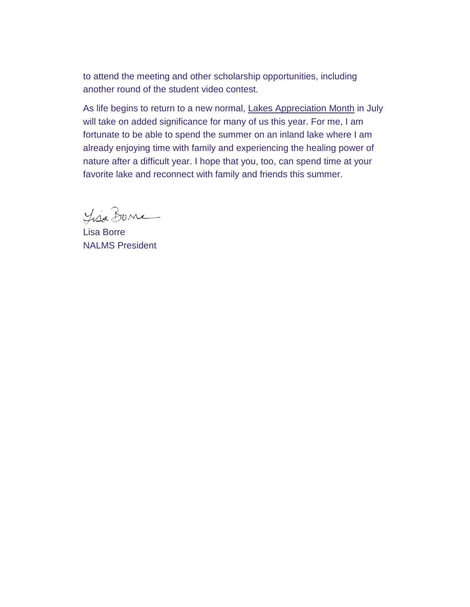to attend the meeting and other scholarship opportunities, including another round of the student video contest.

As life begins to return to a new normal, [Lakes Appreciation Month](https://urldefense.com/v3/__https:/nalms.us11.list-manage.com/track/click?u=dea191c828e06b171edfc6fe6&id=af7491a6e3&e=d5d3c21044__;!!HXCxUKc!h4fcIJW3HiqipUP7wlRt9vYRE3IfXoE8vKEl_XWjUnSOjEdv9BVUb9eOreh88ryI$) in July will take on added significance for many of us this year. For me, I am fortunate to be able to spend the summer on an inland lake where I am already enjoying time with family and experiencing the healing power of nature after a difficult year. I hope that you, too, can spend time at your favorite lake and reconnect with family and friends this summer.

Lisa Bone

Lisa Borre NALMS President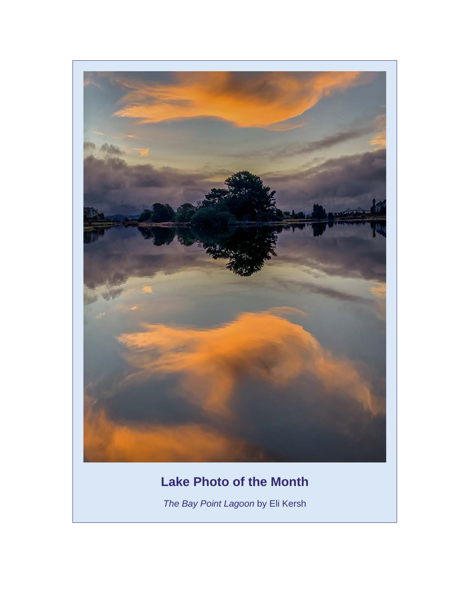

## **Lake Photo of the Month**

*The Bay Point Lagoon* by Eli Kersh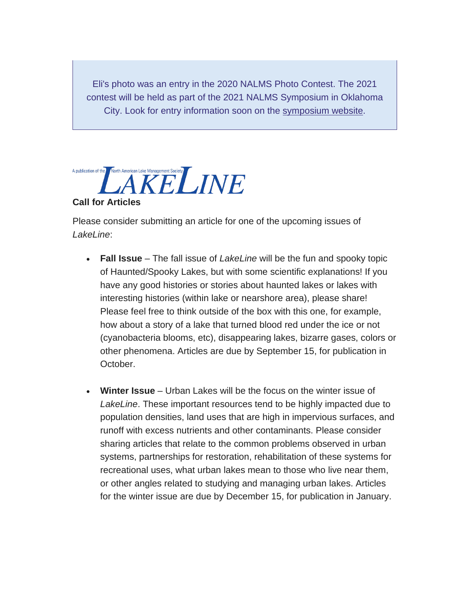Eli's photo was an entry in the 2020 NALMS Photo Contest. The 2021 contest will be held as part of the 2021 NALMS Symposium in Oklahoma City. Look for entry information soon on the [symposium website.](https://urldefense.com/v3/__https:/nalms.us11.list-manage.com/track/click?u=dea191c828e06b171edfc6fe6&id=f84d12f740&e=d5d3c21044__;!!HXCxUKc!h4fcIJW3HiqipUP7wlRt9vYRE3IfXoE8vKEl_XWjUnSOjEdv9BVUb9eOrer6rLCI$)



Please consider submitting an article for one of the upcoming issues of *LakeLine*:

- **Fall Issue** The fall issue of *LakeLine* will be the fun and spooky topic of Haunted/Spooky Lakes, but with some scientific explanations! If you have any good histories or stories about haunted lakes or lakes with interesting histories (within lake or nearshore area), please share! Please feel free to think outside of the box with this one, for example, how about a story of a lake that turned blood red under the ice or not (cyanobacteria blooms, etc), disappearing lakes, bizarre gases, colors or other phenomena. Articles are due by September 15, for publication in October.
- **Winter Issue** Urban Lakes will be the focus on the winter issue of *LakeLine*. These important resources tend to be highly impacted due to population densities, land uses that are high in impervious surfaces, and runoff with excess nutrients and other contaminants. Please consider sharing articles that relate to the common problems observed in urban systems, partnerships for restoration, rehabilitation of these systems for recreational uses, what urban lakes mean to those who live near them, or other angles related to studying and managing urban lakes. Articles for the winter issue are due by December 15, for publication in January.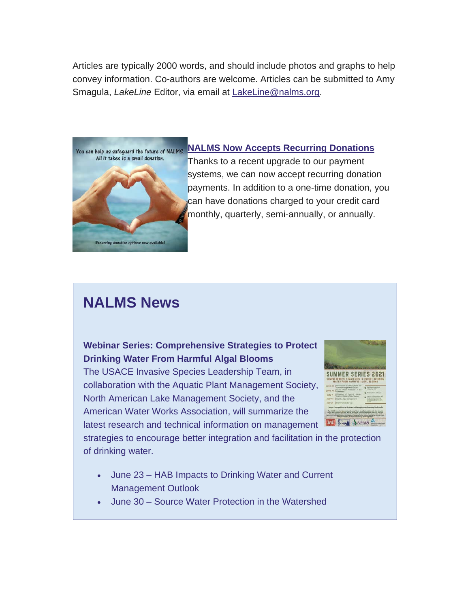Articles are typically 2000 words, and should include photos and graphs to help convey information. Co-authors are welcome. Articles can be submitted to Amy Smagula, *LakeLine* Editor, via email at [LakeLine@nalms.org.](mailto:LakeLine@nalms.org)



#### **[NALMS Now Accepts Recurring Donations](https://urldefense.com/v3/__https:/nalms.us11.list-manage.com/track/click?u=dea191c828e06b171edfc6fe6&id=cd1fa7028e&e=d5d3c21044__;!!HXCxUKc!h4fcIJW3HiqipUP7wlRt9vYRE3IfXoE8vKEl_XWjUnSOjEdv9BVUb9eOrUZubgSQ$)**

Thanks to a recent upgrade to our payment systems, we can now accept recurring donation payments. In addition to a one-time donation, you can have donations charged to your credit card [m](https://urldefense.com/v3/__https:/nalms.us11.list-manage.com/track/click?u=dea191c828e06b171edfc6fe6&id=24dd13b2d1&e=d5d3c21044__;!!HXCxUKc!h4fcIJW3HiqipUP7wlRt9vYRE3IfXoE8vKEl_XWjUnSOjEdv9BVUb9eOrX_5n4Ib$)onthly, quarterly, semi-annually, or annually.

## **NALMS News**

#### **Webinar Series: Comprehensive Strategies to Protect Drinking Water From Harmful Algal Blooms**

The USACE Invasive Species Leadership Team, in collaboration with the Aquatic Plant Management Society, North American Lake Management Society, and the American Water Works Association, will summarize the latest research and technical information on management



strategies to encourage better integration and facilitation in the protection of drinking water.

- June 23 HAB Impacts to Drinking Water and Current Management Outlook
- June 30 Source Water Protection in the Watershed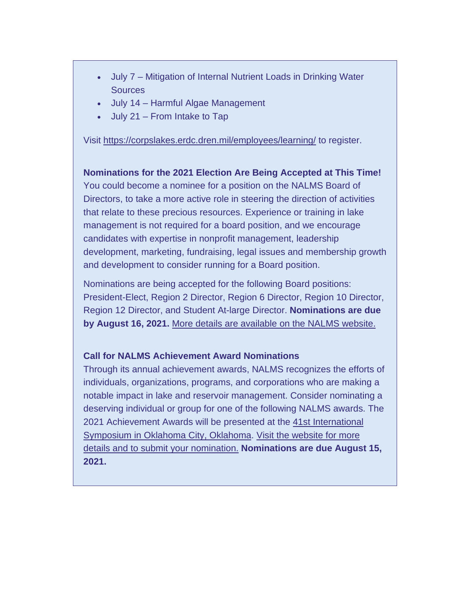- July 7 Mitigation of Internal Nutrient Loads in Drinking Water **Sources**
- July 14 Harmful Algae Management
- July 21 From Intake to Tap

Visit [https://corpslakes.erdc.dren.mil/employees/learning/](https://urldefense.com/v3/__https:/nalms.us11.list-manage.com/track/click?u=dea191c828e06b171edfc6fe6&id=c64cdd532e&e=d5d3c21044__;!!HXCxUKc!h4fcIJW3HiqipUP7wlRt9vYRE3IfXoE8vKEl_XWjUnSOjEdv9BVUb9eOrWgjkKoc$) to register.

**Nominations for the 2021 Election Are Being Accepted at This Time!** You could become a nominee for a position on the NALMS Board of Directors, to take a more active role in steering the direction of activities that relate to these precious resources. Experience or training in lake management is not required for a board position, and we encourage candidates with expertise in nonprofit management, leadership development, marketing, fundraising, legal issues and membership growth and development to consider running for a Board position.

Nominations are being accepted for the following Board positions: President-Elect, Region 2 Director, Region 6 Director, Region 10 Director, Region 12 Director, and Student At-large Director. **Nominations are due by August 16, 2021.** [More details are available on the NALMS website.](https://urldefense.com/v3/__https:/nalms.us11.list-manage.com/track/click?u=dea191c828e06b171edfc6fe6&id=fc854167f9&e=d5d3c21044__;!!HXCxUKc!h4fcIJW3HiqipUP7wlRt9vYRE3IfXoE8vKEl_XWjUnSOjEdv9BVUb9eOrZHw-9Zx$)

#### **Call for NALMS Achievement Award Nominations**

Through its annual achievement awards, NALMS recognizes the efforts of individuals, organizations, programs, and corporations who are making a notable impact in lake and reservoir management. Consider nominating a deserving individual or group for one of the following NALMS awards. The 2021 Achievement Awards will be presented at the [41st International](https://urldefense.com/v3/__https:/nalms.us11.list-manage.com/track/click?u=dea191c828e06b171edfc6fe6&id=d0ae1d81dc&e=d5d3c21044__;!!HXCxUKc!h4fcIJW3HiqipUP7wlRt9vYRE3IfXoE8vKEl_XWjUnSOjEdv9BVUb9eOrYfB1ll2$)  [Symposium in Oklahoma City, Oklahoma.](https://urldefense.com/v3/__https:/nalms.us11.list-manage.com/track/click?u=dea191c828e06b171edfc6fe6&id=d0ae1d81dc&e=d5d3c21044__;!!HXCxUKc!h4fcIJW3HiqipUP7wlRt9vYRE3IfXoE8vKEl_XWjUnSOjEdv9BVUb9eOrYfB1ll2$) [Visit the website for more](https://urldefense.com/v3/__https:/nalms.us11.list-manage.com/track/click?u=dea191c828e06b171edfc6fe6&id=2241d0ed71&e=d5d3c21044__;!!HXCxUKc!h4fcIJW3HiqipUP7wlRt9vYRE3IfXoE8vKEl_XWjUnSOjEdv9BVUb9eOrc1yDg1X$)  [details and to submit your nomination.](https://urldefense.com/v3/__https:/nalms.us11.list-manage.com/track/click?u=dea191c828e06b171edfc6fe6&id=2241d0ed71&e=d5d3c21044__;!!HXCxUKc!h4fcIJW3HiqipUP7wlRt9vYRE3IfXoE8vKEl_XWjUnSOjEdv9BVUb9eOrc1yDg1X$) **Nominations are due August 15, 2021.**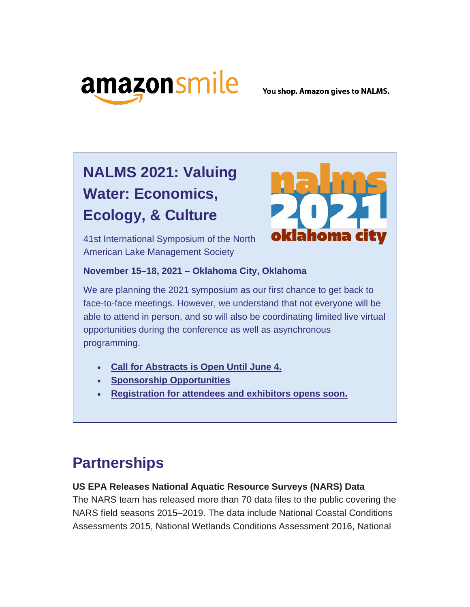

You shop. Amazon gives to NALMS.

# **NALMS 2021: Valuing Water: Economics, Ecology, & Culture**

ahoma

41st International Symposium of the North American Lake Management Society

#### **November 15–18, 2021 – Oklahoma City, Oklahoma**

We are planning the 2021 symposium as our first chance to get back to face-to-face meetings. However, we understand that not everyone will be able to attend in person, and so will also be coordinating limited live virtual opportunities during the conference as well as asynchronous programming.

- **[Call for Abstracts is Open Until June 4.](https://urldefense.com/v3/__https:/nalms.us11.list-manage.com/track/click?u=dea191c828e06b171edfc6fe6&id=8e0ede4da7&e=d5d3c21044__;!!HXCxUKc!h4fcIJW3HiqipUP7wlRt9vYRE3IfXoE8vKEl_XWjUnSOjEdv9BVUb9eOraH83g8R$)**
- **[Sponsorship Opportunities](https://urldefense.com/v3/__https:/nalms.us11.list-manage.com/track/click?u=dea191c828e06b171edfc6fe6&id=8addf5ab51&e=d5d3c21044__;!!HXCxUKc!h4fcIJW3HiqipUP7wlRt9vYRE3IfXoE8vKEl_XWjUnSOjEdv9BVUb9eOrQxNyc9S$)**
- **[Registration for attendees and exhibitors opens soon.](https://urldefense.com/v3/__https:/nalms.us11.list-manage.com/track/click?u=dea191c828e06b171edfc6fe6&id=c29081f120&e=d5d3c21044__;!!HXCxUKc!h4fcIJW3HiqipUP7wlRt9vYRE3IfXoE8vKEl_XWjUnSOjEdv9BVUb9eOrX1-QoX0$)**

# **Partnerships**

### **US EPA Releases National Aquatic Resource Surveys (NARS) Data**

The NARS team has released more than 70 data files to the public covering the NARS field seasons 2015–2019. The data include National Coastal Conditions Assessments 2015, National Wetlands Conditions Assessment 2016, National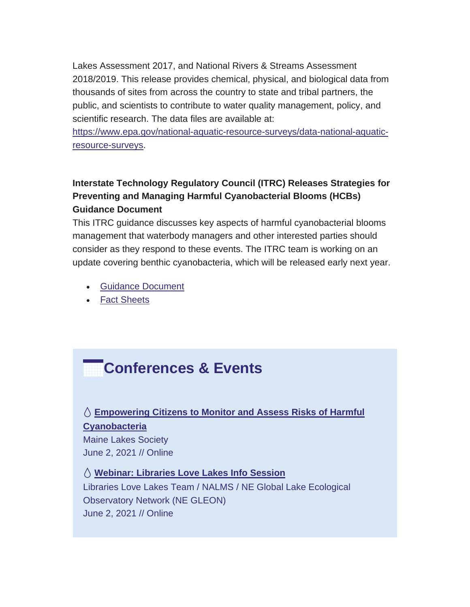Lakes Assessment 2017, and National Rivers & Streams Assessment 2018/2019. This release provides chemical, physical, and biological data from thousands of sites from across the country to state and tribal partners, the public, and scientists to contribute to water quality management, policy, and scientific research. The data files are available at:

[https://www.epa.gov/national-aquatic-resource-surveys/data-national-aquatic](https://urldefense.com/v3/__https:/nalms.us11.list-manage.com/track/click?u=dea191c828e06b171edfc6fe6&id=634368ae8c&e=d5d3c21044__;!!HXCxUKc!h4fcIJW3HiqipUP7wlRt9vYRE3IfXoE8vKEl_XWjUnSOjEdv9BVUb9eOrSP7rPfM$)[resource-surveys.](https://urldefense.com/v3/__https:/nalms.us11.list-manage.com/track/click?u=dea191c828e06b171edfc6fe6&id=634368ae8c&e=d5d3c21044__;!!HXCxUKc!h4fcIJW3HiqipUP7wlRt9vYRE3IfXoE8vKEl_XWjUnSOjEdv9BVUb9eOrSP7rPfM$)

## **Interstate Technology Regulatory Council (ITRC) Releases Strategies for Preventing and Managing Harmful Cyanobacterial Blooms (HCBs) Guidance Document**

This ITRC guidance discusses key aspects of harmful cyanobacterial blooms management that waterbody managers and other interested parties should consider as they respond to these events. The ITRC team is working on an update covering benthic cyanobacteria, which will be released early next year.

- [Guidance Document](https://urldefense.com/v3/__https:/nalms.us11.list-manage.com/track/click?u=dea191c828e06b171edfc6fe6&id=cd77001be8&e=d5d3c21044__;!!HXCxUKc!h4fcIJW3HiqipUP7wlRt9vYRE3IfXoE8vKEl_XWjUnSOjEdv9BVUb9eOram3IQ6i$)
- [Fact Sheets](https://urldefense.com/v3/__https:/nalms.us11.list-manage.com/track/click?u=dea191c828e06b171edfc6fe6&id=ecf8a90778&e=d5d3c21044__;!!HXCxUKc!h4fcIJW3HiqipUP7wlRt9vYRE3IfXoE8vKEl_XWjUnSOjEdv9BVUb9eOrbsS7Qtq$)

## **Conferences & Events**

## **[Empowering Citizens to Monitor and Assess Risks of Harmful](https://urldefense.com/v3/__https:/nalms.us11.list-manage.com/track/click?u=dea191c828e06b171edfc6fe6&id=8318cbde23&e=d5d3c21044__;!!HXCxUKc!h4fcIJW3HiqipUP7wlRt9vYRE3IfXoE8vKEl_XWjUnSOjEdv9BVUb9eOrekE8oMS$)  [Cyanobacteria](https://urldefense.com/v3/__https:/nalms.us11.list-manage.com/track/click?u=dea191c828e06b171edfc6fe6&id=8318cbde23&e=d5d3c21044__;!!HXCxUKc!h4fcIJW3HiqipUP7wlRt9vYRE3IfXoE8vKEl_XWjUnSOjEdv9BVUb9eOrekE8oMS$)** Maine Lakes Society June 2, 2021 // Online

 **[Webinar: Libraries Love Lakes Info Session](https://urldefense.com/v3/__https:/nalms.us11.list-manage.com/track/click?u=dea191c828e06b171edfc6fe6&id=7d75ca5a6b&e=d5d3c21044__;!!HXCxUKc!h4fcIJW3HiqipUP7wlRt9vYRE3IfXoE8vKEl_XWjUnSOjEdv9BVUb9eOrUFfBT3d$)** Libraries Love Lakes Team / NALMS / NE Global Lake Ecological Observatory Network (NE GLEON) June 2, 2021 // Online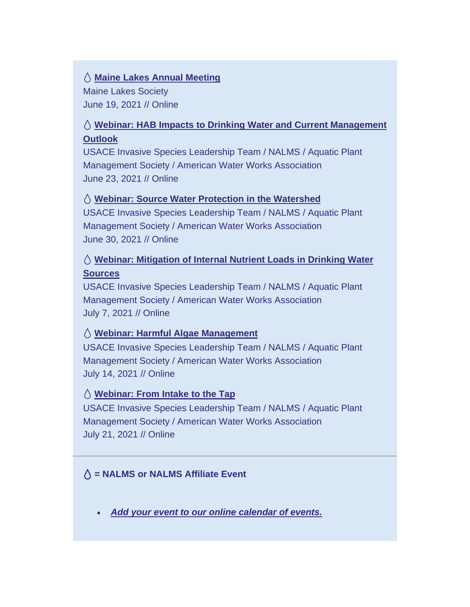#### **[Maine Lakes Annual Meeting](https://urldefense.com/v3/__https:/nalms.us11.list-manage.com/track/click?u=dea191c828e06b171edfc6fe6&id=97c043eb93&e=d5d3c21044__;!!HXCxUKc!h4fcIJW3HiqipUP7wlRt9vYRE3IfXoE8vKEl_XWjUnSOjEdv9BVUb9eOrQiOGtNz$)**

Maine Lakes Society June 19, 2021 // Online

## **[Webinar: HAB Impacts to Drinking Water and Current Management](https://urldefense.com/v3/__https:/nalms.us11.list-manage.com/track/click?u=dea191c828e06b171edfc6fe6&id=5f803fb068&e=d5d3c21044__;!!HXCxUKc!h4fcIJW3HiqipUP7wlRt9vYRE3IfXoE8vKEl_XWjUnSOjEdv9BVUb9eOrWXlxftC$)  [Outlook](https://urldefense.com/v3/__https:/nalms.us11.list-manage.com/track/click?u=dea191c828e06b171edfc6fe6&id=5f803fb068&e=d5d3c21044__;!!HXCxUKc!h4fcIJW3HiqipUP7wlRt9vYRE3IfXoE8vKEl_XWjUnSOjEdv9BVUb9eOrWXlxftC$)**

USACE Invasive Species Leadership Team / NALMS / Aquatic Plant Management Society / American Water Works Association June 23, 2021 // Online

### **[Webinar: Source Water Protection in the Watershed](https://urldefense.com/v3/__https:/nalms.us11.list-manage.com/track/click?u=dea191c828e06b171edfc6fe6&id=a2290a5ec2&e=d5d3c21044__;!!HXCxUKc!h4fcIJW3HiqipUP7wlRt9vYRE3IfXoE8vKEl_XWjUnSOjEdv9BVUb9eOrXijdWE3$)**

USACE Invasive Species Leadership Team / NALMS / Aquatic Plant Management Society / American Water Works Association June 30, 2021 // Online

## **[Webinar: Mitigation of Internal Nutrient Loads in Drinking Water](https://urldefense.com/v3/__https:/nalms.us11.list-manage.com/track/click?u=dea191c828e06b171edfc6fe6&id=eda64b6111&e=d5d3c21044__;!!HXCxUKc!h4fcIJW3HiqipUP7wlRt9vYRE3IfXoE8vKEl_XWjUnSOjEdv9BVUb9eOrTkoLPAv$)  [Sources](https://urldefense.com/v3/__https:/nalms.us11.list-manage.com/track/click?u=dea191c828e06b171edfc6fe6&id=eda64b6111&e=d5d3c21044__;!!HXCxUKc!h4fcIJW3HiqipUP7wlRt9vYRE3IfXoE8vKEl_XWjUnSOjEdv9BVUb9eOrTkoLPAv$)**

USACE Invasive Species Leadership Team / NALMS / Aquatic Plant Management Society / American Water Works Association July 7, 2021 // Online

### **[Webinar: Harmful Algae Management](https://urldefense.com/v3/__https:/nalms.us11.list-manage.com/track/click?u=dea191c828e06b171edfc6fe6&id=e59c2779cb&e=d5d3c21044__;!!HXCxUKc!h4fcIJW3HiqipUP7wlRt9vYRE3IfXoE8vKEl_XWjUnSOjEdv9BVUb9eOrRyhPkwb$)**

USACE Invasive Species Leadership Team / NALMS / Aquatic Plant Management Society / American Water Works Association July 14, 2021 // Online

### **[Webinar: From Intake to the Tap](https://urldefense.com/v3/__https:/nalms.us11.list-manage.com/track/click?u=dea191c828e06b171edfc6fe6&id=8e4d708634&e=d5d3c21044__;!!HXCxUKc!h4fcIJW3HiqipUP7wlRt9vYRE3IfXoE8vKEl_XWjUnSOjEdv9BVUb9eOraOu6y0p$)**

USACE Invasive Species Leadership Team / NALMS / Aquatic Plant Management Society / American Water Works Association July 21, 2021 // Online

### **= NALMS or NALMS Affiliate Event**

• *[Add your event to our online calendar of events.](https://urldefense.com/v3/__https:/nalms.us11.list-manage.com/track/click?u=dea191c828e06b171edfc6fe6&id=c91d56c8d9&e=d5d3c21044__;!!HXCxUKc!h4fcIJW3HiqipUP7wlRt9vYRE3IfXoE8vKEl_XWjUnSOjEdv9BVUb9eOrZnTh6Ue$)*